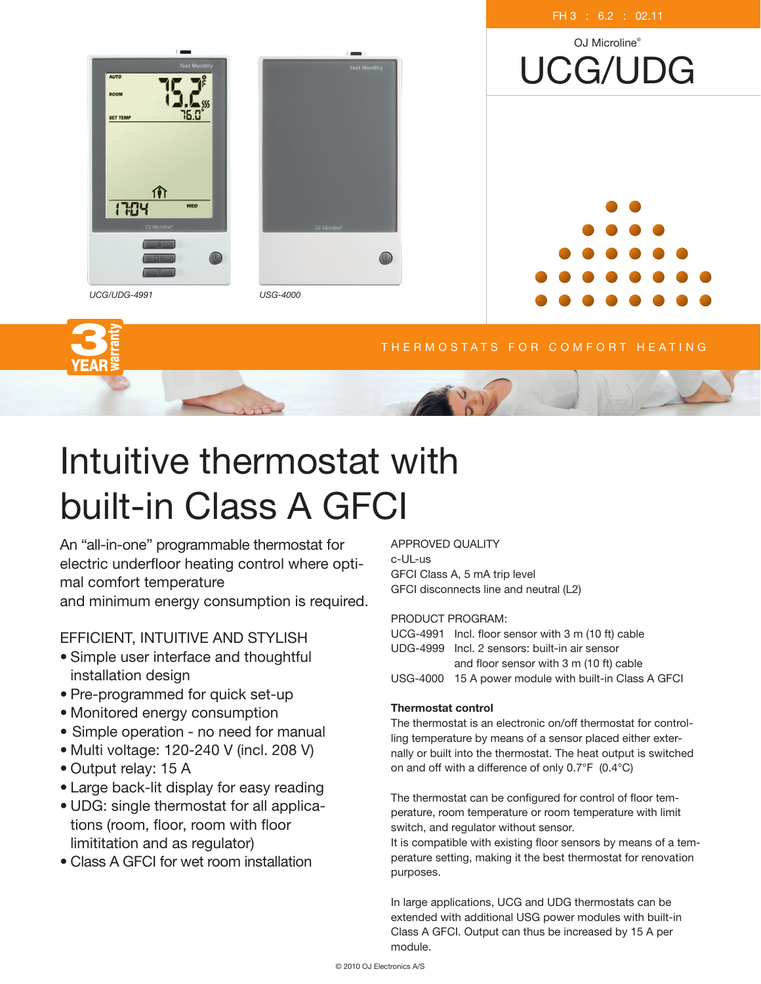

#### THERMOSTATS FOR COMFORT HEATING

# Intuitive thermostat with built-in Class A GFCI

An "all-in-one" programmable thermostat for electric underfloor heating control where optimal comfort temperature and minimum energy consumption is required.

# EFFICIENT, INTUITIVE AND STYLISH

- Simple user interface and thoughtful installation design
- Pre-programmed for quick set-up
- Monitored energy consumption
- Simple operation no need for manual
- Multi voltage: 120-240 V (incl. 208 V)
- Output relay: 15 A
- Large back-lit display for easy reading
- UDG: single thermostat for all applications (room, floor, room with floor limititation and as regulator)
- Class A GFCI for wet room installation

APPROVED QUALITY c-UL-us GFCI Class A, 5 mA trip level GFCI disconnects line and neutral (L2)

### PRODUCT PROGRAM:

| UCG-4991 Incl. floor sensor with 3 m (10 ft) cable    |  |
|-------------------------------------------------------|--|
| UDG-4999 Incl. 2 sensors: built-in air sensor         |  |
| and floor sensor with 3 m (10 ft) cable               |  |
| USG-4000 15 A power module with built-in Class A GFCI |  |
|                                                       |  |

## Thermostat control

The thermostat is an electronic on/off thermostat for controlling temperature by means of a sensor placed either externally or built into the thermostat. The heat output is switched on and off with a difference of only 0.7°F (0.4°C)

The thermostat can be configured for control of floor temperature, room temperature or room temperature with limit switch, and regulator without sensor.

It is compatible with existing floor sensors by means of a temperature setting, making it the best thermostat for renovation purposes.

In large applications, UCG and UDG thermostats can be extended with additional USG power modules with built-in Class A GFCI. Output can thus be increased by 15 A per module.